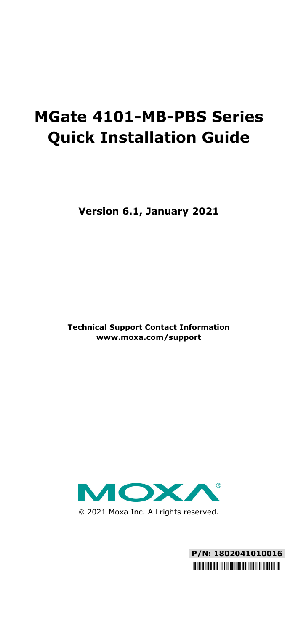# **MGate 4101-MB-PBS Series Quick Installation Guide**

**Version 6.1, January 2021**

**Technical Support Contact Information www.moxa.com/support**



2021 Moxa Inc. All rights reserved.

**P/N: 1802041010016** \*1802041010016\*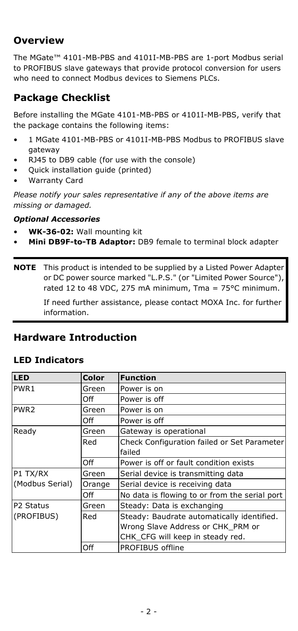# **Overview**

The MGate™ 4101-MB-PBS and 4101I-MB-PBS are 1-port Modbus serial to PROFIBUS slave gateways that provide protocol conversion for users who need to connect Modbus devices to Siemens PLCs.

# **Package Checklist**

Before installing the MGate 4101-MB-PBS or 4101I-MB-PBS, verify that the package contains the following items:

- 1 MGate 4101-MB-PBS or 4101I-MB-PBS Modbus to PROFIBUS slave gateway
- RJ45 to DB9 cable (for use with the console)
- Quick installation guide (printed)
- Warranty Card

*Please notify your sales representative if any of the above items are missing or damaged.*

#### *Optional Accessories*

- **WK-36-02:** Wall mounting kit
- **Mini DB9F-to-TB Adaptor:** DB9 female to terminal block adapter

**NOTE** This product is intended to be supplied by a Listed Power Adapter or DC power source marked "L.P.S." (or "Limited Power Source"), rated 12 to 48 VDC, 275 mA minimum, Tma = 75°C minimum.

> If need further assistance, please contact MOXA Inc. for further information.

## **Hardware Introduction**

#### **LED Indicators**

| <b>LED</b>       | Color  | <b>Function</b>                               |
|------------------|--------|-----------------------------------------------|
| PWR <sub>1</sub> | Green  | Power is on                                   |
|                  | Off    | Power is off                                  |
| PWR <sub>2</sub> | Green  | Power is on                                   |
|                  | Off    | Power is off                                  |
| Ready            | Green  | Gateway is operational                        |
|                  | Red    | Check Configuration failed or Set Parameter   |
|                  |        | failed                                        |
|                  | Off    | Power is off or fault condition exists        |
| P1 TX/RX         | Green  | Serial device is transmitting data            |
| (Modbus Serial)  | Orange | Serial device is receiving data               |
|                  | Off    | No data is flowing to or from the serial port |
| P2 Status        | Green  | Steady: Data is exchanging                    |
| (PROFIBUS)       | Red    | Steady: Baudrate automatically identified.    |
|                  |        | Wrong Slave Address or CHK PRM or             |
|                  |        | CHK CFG will keep in steady red.              |
|                  | Off    | PROFIBUS offline                              |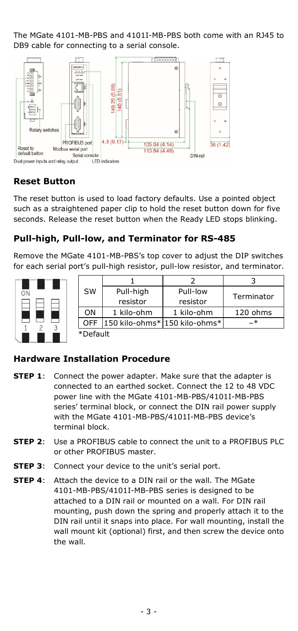The MGate 4101-MB-PBS and 4101I-MB-PBS both come with an RJ45 to DB9 cable for connecting to a serial console.



#### **Reset Button**

The reset button is used to load factory defaults. Use a pointed object such as a straightened paper clip to hold the reset button down for five seconds. Release the reset button when the Ready LED stops blinking.

#### **Pull-high, Pull-low, and Terminator for RS-485**

Remove the MGate 4101-MB-PBS's top cover to adjust the DIP switches for each serial port's pull-high resistor, pull-low resistor, and terminator.



| <b>SW</b> |            | Pull-high  | Pull-low                      |            |  |
|-----------|------------|------------|-------------------------------|------------|--|
|           |            | resistor   | resistor                      | Terminator |  |
|           | ΟN         | 1 kilo-ohm | 1 kilo-ohm                    | 120 ohms   |  |
|           | <b>OFF</b> |            | 150 kilo-ohms* 150 kilo-ohms* | - *        |  |
|           | *Default   |            |                               |            |  |

#### **Hardware Installation Procedure**

- **STEP 1:** Connect the power adapter. Make sure that the adapter is connected to an earthed socket. Connect the 12 to 48 VDC power line with the MGate 4101-MB-PBS/4101I-MB-PBS series' terminal block, or connect the DIN rail power supply with the MGate 4101-MB-PBS/4101I-MB-PBS device's terminal block.
- **STEP 2**: Use a PROFIBUS cable to connect the unit to a PROFIBUS PLC or other PROFIBUS master.
- **STEP 3:** Connect your device to the unit's serial port.
- **STEP 4**: Attach the device to a DIN rail or the wall. The MGate 4101-MB-PBS/4101I-MB-PBS series is designed to be attached to a DIN rail or mounted on a wall. For DIN rail mounting, push down the spring and properly attach it to the DIN rail until it snaps into place. For wall mounting, install the wall mount kit (optional) first, and then screw the device onto the wall.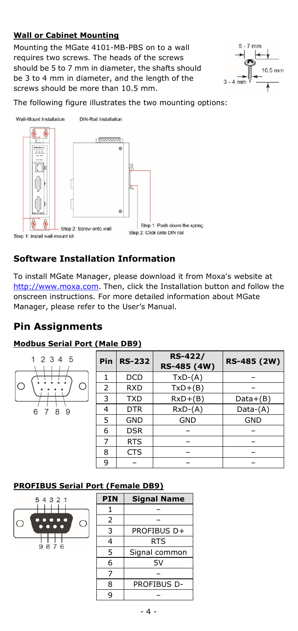#### **Wall or Cabinet Mounting**

Mounting the MGate 4101-MB-PBS on to a wall requires two screws. The heads of the screws should be 5 to 7 mm in diameter, the shafts should be 3 to 4 mm in diameter, and the length of the screws should be more than 10.5 mm.



The following figure illustrates the two mounting options:



#### **Software Installation Information**

To install MGate Manager, please download it from Moxa's website at [http://www.moxa.com.](http://www.moxa.com/) Then, click the Installation button and follow the onscreen instructions. For more detailed information about MGate Manager, please refer to the User's Manual.

#### **Pin Assignments**

#### **Modbus Serial Port (Male DB9)**

| 12345             | Pin | <b>RS-232</b> | RS-422/<br>RS-485 (4W) | RS-485 (2W) |
|-------------------|-----|---------------|------------------------|-------------|
|                   |     | <b>DCD</b>    | $TxD-(A)$              |             |
| ∩                 | 2   | <b>RXD</b>    | $TxD+(B)$              |             |
|                   | 3   | <b>TXD</b>    | $RxD+(B)$              | $Data+(B)$  |
| 6<br>8<br>-9<br>7 | 4   | <b>DTR</b>    | $RxD-(A)$              | $Data-(A)$  |
|                   | 5   | <b>GND</b>    | <b>GND</b>             | <b>GND</b>  |
|                   | 6   | <b>DSR</b>    |                        |             |
|                   | 7   | <b>RTS</b>    |                        |             |
|                   | 8   | <b>CTS</b>    |                        |             |
|                   | 9   |               |                        |             |

#### **PROFIBUS Serial Port (Female DB9)**



| PIN | Signal Name   |
|-----|---------------|
| 1   |               |
| 2   |               |
| 3   | PROFIBUS D+   |
| 4   | <b>RTS</b>    |
| 5   | Signal common |
| 6   | 5V            |
| 7   |               |
| 8   | PROFIBUS D-   |
| q   |               |
|     |               |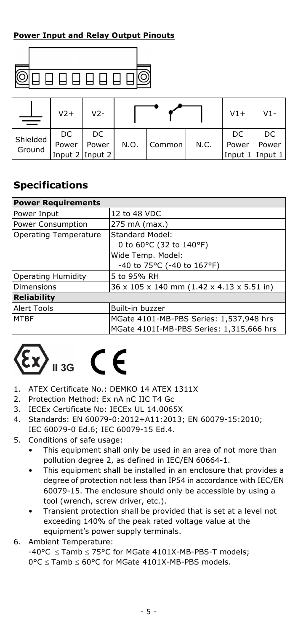#### **Power Input and Relay Output Pinouts**



|                    | $V2+$ | $V2-$           |      |        |      | $V1+$           | $V1-$ |
|--------------------|-------|-----------------|------|--------|------|-----------------|-------|
| Shielded<br>Ground | DC    | DC.             |      |        |      | DC              | DC    |
|                    | Power | Power           | N.O. | Common | N.C. | Power           | Power |
|                    |       | Input 2 Input 2 |      |        |      | Input 1 Input 1 |       |

## **Specifications**

| <b>Power Requirements</b> |                                           |  |
|---------------------------|-------------------------------------------|--|
| Power Input               | 12 to 48 VDC                              |  |
| Power Consumption         | 275 mA (max.)                             |  |
| Operating Temperature     | Standard Model:                           |  |
|                           | 0 to 60°C (32 to 140°F)                   |  |
|                           | Wide Temp. Model:                         |  |
|                           | -40 to 75°C (-40 to 167°F)                |  |
| <b>Operating Humidity</b> | 5 to 95% RH                               |  |
| Dimensions                | 36 x 105 x 140 mm (1.42 x 4.13 x 5.51 in) |  |
| <b>Reliability</b>        |                                           |  |
| <b>Alert Tools</b>        | Built-in buzzer                           |  |
| <b>MTBF</b>               | MGate 4101-MB-PBS Series: 1,537,948 hrs   |  |
|                           | MGate 4101I-MB-PBS Series: 1,315,666 hrs  |  |

# $\epsilon$

- 1. ATEX Certificate No.: DEMKO 14 ATEX 1311X
- 2. Protection Method: Ex nA nC IIC T4 Gc
- 3. IECEx Certificate No: IECEx UL 14.0065X
- 4. Standards: EN 60079-0:2012+A11:2013; EN 60079-15:2010; IEC 60079-0 Ed.6; IEC 60079-15 Ed.4.
- 5. Conditions of safe usage:
	- This equipment shall only be used in an area of not more than pollution degree 2, as defined in IEC/EN 60664-1.
	- This equipment shall be installed in an enclosure that provides a degree of protection not less than IP54 in accordance with IEC/EN 60079-15. The enclosure should only be accessible by using a tool (wrench, screw driver, etc.).
	- Transient protection shall be provided that is set at a level not exceeding 140% of the peak rated voltage value at the equipment's power supply terminals.
- 6. Ambient Temperature:

-40°C ≤ Tamb ≤ 75°C for MGate 4101X-MB-PBS-T models; 0°C ≤ Tamb ≤ 60°C for MGate 4101X-MB-PBS models.